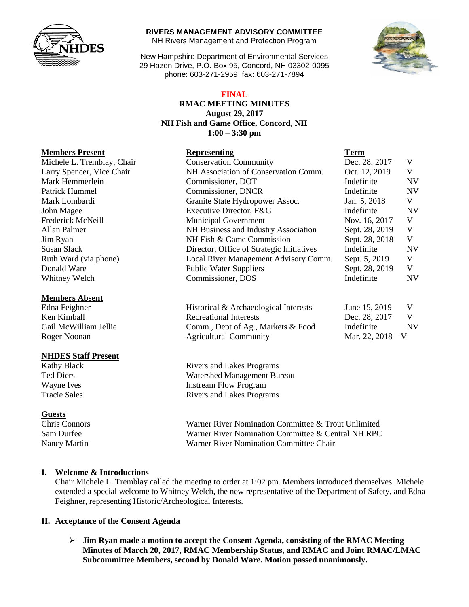

#### **RIVERS MANAGEMENT ADVISORY COMMITTEE**

NH Rivers Management and Protection Program

New Hampshire Department of Environmental Services 29 Hazen Drive, P.O. Box 95, Concord, NH 03302-0095 phone: 603-271-2959 fax: 603-271-7894

### **FINAL**

### **RMAC MEETING MINUTES August 29, 2017 NH Fish and Game Office, Concord, NH 1:00 – 3:30 pm**

# **Members Present Representing Term**

| Michele L. Tremblay, Chair | <b>Conservation Community</b>             | Dec. 28, 2017  | V         |
|----------------------------|-------------------------------------------|----------------|-----------|
| Larry Spencer, Vice Chair  | NH Association of Conservation Comm.      | Oct. 12, 2019  | V         |
| Mark Hemmerlein            | Commissioner, DOT                         | Indefinite     | <b>NV</b> |
| Patrick Hummel             | Commissioner, DNCR                        | Indefinite     | <b>NV</b> |
| Mark Lombardi              | Granite State Hydropower Assoc.           | Jan. 5, 2018   | V         |
| John Magee                 | Executive Director, F&G                   | Indefinite     | <b>NV</b> |
| Frederick McNeill          | <b>Municipal Government</b>               | Nov. 16, 2017  | V         |
| Allan Palmer               | NH Business and Industry Association      | Sept. 28, 2019 | V         |
| Jim Ryan                   | NH Fish & Game Commission                 | Sept. 28, 2018 | V         |
| Susan Slack                | Director, Office of Strategic Initiatives | Indefinite     | <b>NV</b> |
| Ruth Ward (via phone)      | Local River Management Advisory Comm.     | Sept. 5, 2019  | V         |
| Donald Ware                | <b>Public Water Suppliers</b>             | Sept. 28, 2019 | V         |
| Whitney Welch              | Commissioner, DOS                         | Indefinite     | <b>NV</b> |
| <b>Members Absent</b>      |                                           |                |           |

| Historical & Archaeological Interests | June 15, 2019 |     |
|---------------------------------------|---------------|-----|
| Recreational Interests                | Dec. 28, 2017 | V.  |
| Comm., Dept of Ag., Markets & Food    | Indefinite    | N١  |
| <b>Agricultural Community</b>         | Mar. 22, 2018 | - V |

Kathy Black Rivers and Lakes Programs Ted Diers Watershed Management Bureau Wayne Ives **Instream Flow Program** Tracie Sales **Rivers** and Lakes Programs

Chris Connors Warner River Nomination Committee & Trout Unlimited Sam Durfee Warner River Nomination Committee & Central NH RPC Nancy Martin Warner River Nomination Committee Chair

# **I. Welcome & Introductions**

Chair Michele L. Tremblay called the meeting to order at 1:02 pm. Members introduced themselves. Michele extended a special welcome to Whitney Welch, the new representative of the Department of Safety, and Edna Feighner, representing Historic/Archeological Interests.

### **II. Acceptance of the Consent Agenda**

 **Jim Ryan made a motion to accept the Consent Agenda, consisting of the RMAC Meeting Minutes of March 20, 2017, RMAC Membership Status, and RMAC and Joint RMAC/LMAC Subcommittee Members, second by Donald Ware. Motion passed unanimously.** 



Larry Spencer, Vice Chair Mark Hemmerlein Patrick Hummel Mark Lombardi Frederick McNeill Susan Slack Ruth Ward (via phone) Donald Ware Whitney Welch

#### **Members Absent**

Edna Feighner Ken Kimball Gail McWilliam Jellie Roger Noonan

### **NHDES Staff Present**

### **Guests**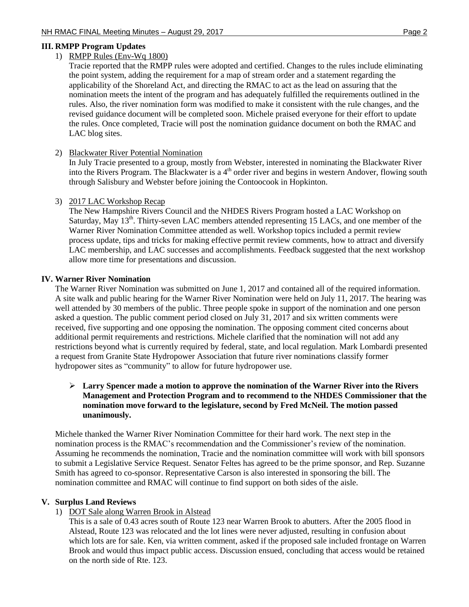# 1) RMPP Rules (Env-Wq 1800)

Tracie reported that the RMPP rules were adopted and certified. Changes to the rules include eliminating the point system, adding the requirement for a map of stream order and a statement regarding the applicability of the Shoreland Act, and directing the RMAC to act as the lead on assuring that the nomination meets the intent of the program and has adequately fulfilled the requirements outlined in the rules. Also, the river nomination form was modified to make it consistent with the rule changes, and the revised guidance document will be completed soon. Michele praised everyone for their effort to update the rules. Once completed, Tracie will post the nomination guidance document on both the RMAC and LAC blog sites.

2) Blackwater River Potential Nomination

In July Tracie presented to a group, mostly from Webster, interested in nominating the Blackwater River into the Rivers Program. The Blackwater is a 4<sup>th</sup> order river and begins in western Andover, flowing south through Salisbury and Webster before joining the Contoocook in Hopkinton.

# 3) 2017 LAC Workshop Recap

The New Hampshire Rivers Council and the NHDES Rivers Program hosted a LAC Workshop on Saturday, May 13<sup>th</sup>. Thirty-seven LAC members attended representing 15 LACs, and one member of the Warner River Nomination Committee attended as well. Workshop topics included a permit review process update, tips and tricks for making effective permit review comments, how to attract and diversify LAC membership, and LAC successes and accomplishments. Feedback suggested that the next workshop allow more time for presentations and discussion.

# **IV. Warner River Nomination**

The Warner River Nomination was submitted on June 1, 2017 and contained all of the required information. A site walk and public hearing for the Warner River Nomination were held on July 11, 2017. The hearing was well attended by 30 members of the public. Three people spoke in support of the nomination and one person asked a question. The public comment period closed on July 31, 2017 and six written comments were received, five supporting and one opposing the nomination. The opposing comment cited concerns about additional permit requirements and restrictions. Michele clarified that the nomination will not add any restrictions beyond what is currently required by federal, state, and local regulation. Mark Lombardi presented a request from Granite State Hydropower Association that future river nominations classify former hydropower sites as "community" to allow for future hydropower use.

# **Larry Spencer made a motion to approve the nomination of the Warner River into the Rivers Management and Protection Program and to recommend to the NHDES Commissioner that the nomination move forward to the legislature, second by Fred McNeil. The motion passed unanimously.**

Michele thanked the Warner River Nomination Committee for their hard work. The next step in the nomination process is the RMAC's recommendation and the Commissioner's review of the nomination. Assuming he recommends the nomination, Tracie and the nomination committee will work with bill sponsors to submit a Legislative Service Request. Senator Feltes has agreed to be the prime sponsor, and Rep. Suzanne Smith has agreed to co-sponsor. Representative Carson is also interested in sponsoring the bill. The nomination committee and RMAC will continue to find support on both sides of the aisle.

# **V. Surplus Land Reviews**

1) DOT Sale along Warren Brook in Alstead

This is a sale of 0.43 acres south of Route 123 near Warren Brook to abutters. After the 2005 flood in Alstead, Route 123 was relocated and the lot lines were never adjusted, resulting in confusion about which lots are for sale. Ken, via written comment, asked if the proposed sale included frontage on Warren Brook and would thus impact public access. Discussion ensued, concluding that access would be retained on the north side of Rte. 123.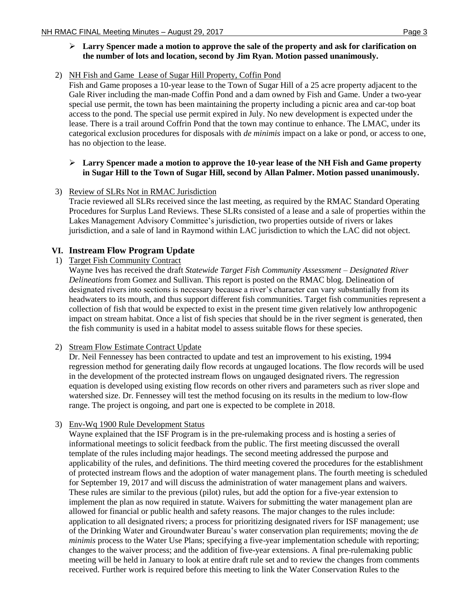2) NH Fish and Game Lease of Sugar Hill Property, Coffin Pond

Fish and Game proposes a 10-year lease to the Town of Sugar Hill of a 25 acre property adjacent to the Gale River including the man-made Coffin Pond and a dam owned by Fish and Game. Under a two-year special use permit, the town has been maintaining the property including a picnic area and car-top boat access to the pond. The special use permit expired in July. No new development is expected under the lease. There is a trail around Coffrin Pond that the town may continue to enhance. The LMAC, under its categorical exclusion procedures for disposals with *de minimis* impact on a lake or pond, or access to one, has no objection to the lease.

### **Larry Spencer made a motion to approve the 10-year lease of the NH Fish and Game property in Sugar Hill to the Town of Sugar Hill, second by Allan Palmer. Motion passed unanimously.**

3) Review of SLRs Not in RMAC Jurisdiction

Tracie reviewed all SLRs received since the last meeting, as required by the RMAC Standard Operating Procedures for Surplus Land Reviews. These SLRs consisted of a lease and a sale of properties within the Lakes Management Advisory Committee's jurisdiction, two properties outside of rivers or lakes jurisdiction, and a sale of land in Raymond within LAC jurisdiction to which the LAC did not object.

# **VI. Instream Flow Program Update**

1) Target Fish Community Contract

Wayne Ives has received the draft *Statewide Target Fish Community Assessment – Designated River Delineations* from Gomez and Sullivan. This report is posted on the RMAC blog. Delineation of designated rivers into sections is necessary because a river's character can vary substantially from its headwaters to its mouth, and thus support different fish communities. Target fish communities represent a collection of fish that would be expected to exist in the present time given relatively low anthropogenic impact on stream habitat. Once a list of fish species that should be in the river segment is generated, then the fish community is used in a habitat model to assess suitable flows for these species.

2) Stream Flow Estimate Contract Update

Dr. Neil Fennessey has been contracted to update and test an improvement to his existing, 1994 regression method for generating daily flow records at ungauged locations. The flow records will be used in the development of the protected instream flows on ungauged designated rivers. The regression equation is developed using existing flow records on other rivers and parameters such as river slope and watershed size. Dr. Fennessey will test the method focusing on its results in the medium to low-flow range. The project is ongoing, and part one is expected to be complete in 2018.

3) Env-Wq 1900 Rule Development Status

Wayne explained that the ISF Program is in the pre-rulemaking process and is hosting a series of informational meetings to solicit feedback from the public. The first meeting discussed the overall template of the rules including major headings. The second meeting addressed the purpose and applicability of the rules, and definitions. The third meeting covered the procedures for the establishment of protected instream flows and the adoption of water management plans. The fourth meeting is scheduled for September 19, 2017 and will discuss the administration of water management plans and waivers. These rules are similar to the previous (pilot) rules, but add the option for a five-year extension to implement the plan as now required in statute. Waivers for submitting the water management plan are allowed for financial or public health and safety reasons. The major changes to the rules include: application to all designated rivers; a process for prioritizing designated rivers for ISF management; use of the Drinking Water and Groundwater Bureau's water conservation plan requirements; moving the *de minimis* process to the Water Use Plans; specifying a five-year implementation schedule with reporting; changes to the waiver process; and the addition of five-year extensions. A final pre-rulemaking public meeting will be held in January to look at entire draft rule set and to review the changes from comments received. Further work is required before this meeting to link the Water Conservation Rules to the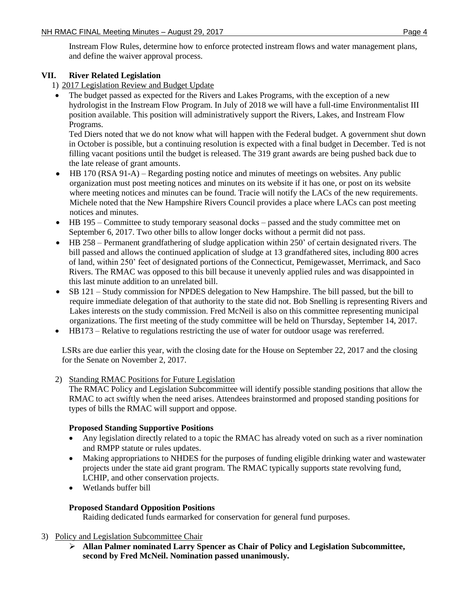Instream Flow Rules, determine how to enforce protected instream flows and water management plans, and define the waiver approval process.

# **VII. River Related Legislation**

1) 2017 Legislation Review and Budget Update

 The budget passed as expected for the Rivers and Lakes Programs, with the exception of a new hydrologist in the Instream Flow Program. In July of 2018 we will have a full-time Environmentalist III position available. This position will administratively support the Rivers, Lakes, and Instream Flow Programs.

Ted Diers noted that we do not know what will happen with the Federal budget. A government shut down in October is possible, but a continuing resolution is expected with a final budget in December. Ted is not filling vacant positions until the budget is released. The 319 grant awards are being pushed back due to the late release of grant amounts.

- HB 170 (RSA 91-A) Regarding posting notice and minutes of meetings on websites. Any public organization must post meeting notices and minutes on its website if it has one, or post on its website where meeting notices and minutes can be found. Tracie will notify the LACs of the new requirements. Michele noted that the New Hampshire Rivers Council provides a place where LACs can post meeting notices and minutes.
- HB 195 Committee to study temporary seasonal docks passed and the study committee met on September 6, 2017. Two other bills to allow longer docks without a permit did not pass.
- HB 258 Permanent grandfathering of sludge application within 250' of certain designated rivers. The bill passed and allows the continued application of sludge at 13 grandfathered sites, including 800 acres of land, within 250' feet of designated portions of the Connecticut, Pemigewasset, Merrimack, and Saco Rivers. The RMAC was opposed to this bill because it unevenly applied rules and was disappointed in this last minute addition to an unrelated bill.
- SB 121 Study commission for NPDES delegation to New Hampshire. The bill passed, but the bill to require immediate delegation of that authority to the state did not. Bob Snelling is representing Rivers and Lakes interests on the study commission. Fred McNeil is also on this committee representing municipal organizations. The first meeting of the study committee will be held on Thursday, September 14, 2017.
- HB173 Relative to regulations restricting the use of water for outdoor usage was rereferred.

LSRs are due earlier this year, with the closing date for the House on September 22, 2017 and the closing for the Senate on November 2, 2017.

2) Standing RMAC Positions for Future Legislation

The RMAC Policy and Legislation Subcommittee will identify possible standing positions that allow the RMAC to act swiftly when the need arises. Attendees brainstormed and proposed standing positions for types of bills the RMAC will support and oppose.

# **Proposed Standing Supportive Positions**

- Any legislation directly related to a topic the RMAC has already voted on such as a river nomination and RMPP statute or rules updates.
- Making appropriations to NHDES for the purposes of funding eligible drinking water and wastewater projects under the state aid grant program. The RMAC typically supports state revolving fund, LCHIP, and other conservation projects.
- Wetlands buffer bill

# **Proposed Standard Opposition Positions**

Raiding dedicated funds earmarked for conservation for general fund purposes.

# 3) Policy and Legislation Subcommittee Chair

 **Allan Palmer nominated Larry Spencer as Chair of Policy and Legislation Subcommittee, second by Fred McNeil. Nomination passed unanimously.**